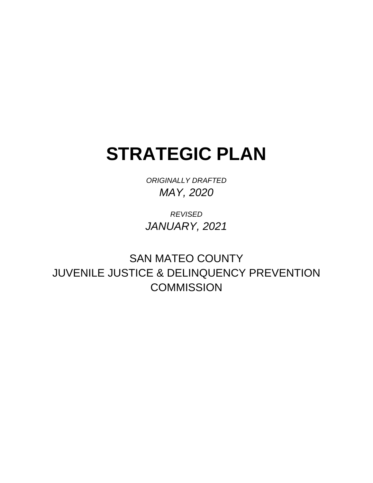# **STRATEGIC PLAN**

*ORIGINALLY DRAFTED MAY, 2020*

*REVISED JANUARY, 2021*

SAN MATEO COUNTY JUVENILE JUSTICE & DELINQUENCY PREVENTION **COMMISSION**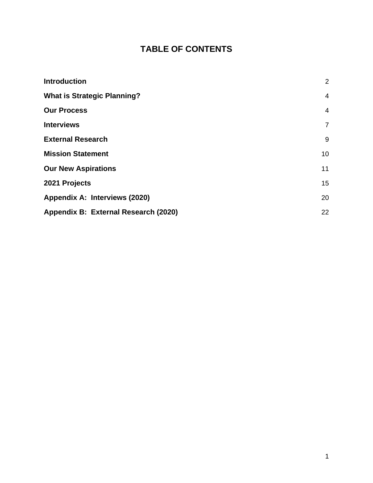### **TABLE OF CONTENTS**

| <b>Introduction</b>                  | $\overline{2}$  |
|--------------------------------------|-----------------|
| <b>What is Strategic Planning?</b>   | 4               |
| <b>Our Process</b>                   | 4               |
| <b>Interviews</b>                    | $\overline{7}$  |
| <b>External Research</b>             | 9               |
| <b>Mission Statement</b>             | 10 <sup>°</sup> |
| <b>Our New Aspirations</b>           | 11              |
| 2021 Projects                        | 15              |
| Appendix A: Interviews (2020)        | 20              |
| Appendix B: External Research (2020) | 22              |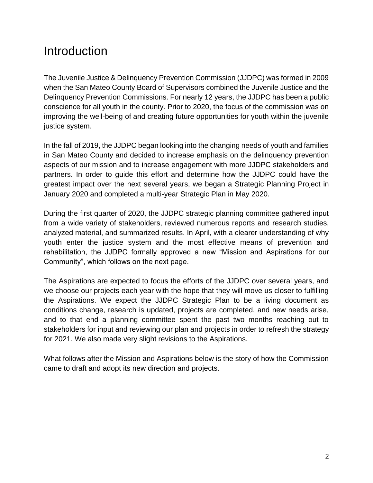### <span id="page-2-0"></span>Introduction

The Juvenile Justice & Delinquency Prevention Commission (JJDPC) was formed in 2009 when the San Mateo County Board of Supervisors combined the Juvenile Justice and the Delinquency Prevention Commissions. For nearly 12 years, the JJDPC has been a public conscience for all youth in the county. Prior to 2020, the focus of the commission was on improving the well-being of and creating future opportunities for youth within the juvenile justice system.

In the fall of 2019, the JJDPC began looking into the changing needs of youth and families in San Mateo County and decided to increase emphasis on the delinquency prevention aspects of our mission and to increase engagement with more JJDPC stakeholders and partners. In order to guide this effort and determine how the JJDPC could have the greatest impact over the next several years, we began a Strategic Planning Project in January 2020 and completed a multi-year Strategic Plan in May 2020.

During the first quarter of 2020, the JJDPC strategic planning committee gathered input from a wide variety of stakeholders, reviewed numerous reports and research studies, analyzed material, and summarized results. In April, with a clearer understanding of why youth enter the justice system and the most effective means of prevention and rehabilitation, the JJDPC formally approved a new "Mission and Aspirations for our Community", which follows on the next page.

The Aspirations are expected to focus the efforts of the JJDPC over several years, and we choose our projects each year with the hope that they will move us closer to fulfilling the Aspirations. We expect the JJDPC Strategic Plan to be a living document as conditions change, research is updated, projects are completed, and new needs arise, and to that end a planning committee spent the past two months reaching out to stakeholders for input and reviewing our plan and projects in order to refresh the strategy for 2021. We also made very slight revisions to the Aspirations.

What follows after the Mission and Aspirations below is the story of how the Commission came to draft and adopt its new direction and projects.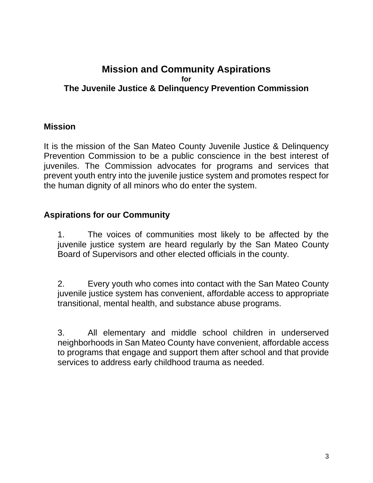#### **Mission and Community Aspirations for The Juvenile Justice & Delinquency Prevention Commission**

#### **Mission**

It is the mission of the San Mateo County Juvenile Justice & Delinquency Prevention Commission to be a public conscience in the best interest of juveniles. The Commission advocates for programs and services that prevent youth entry into the juvenile justice system and promotes respect for the human dignity of all minors who do enter the system.

#### **Aspirations for our Community**

1. The voices of communities most likely to be affected by the juvenile justice system are heard regularly by the San Mateo County Board of Supervisors and other elected officials in the county.

2. Every youth who comes into contact with the San Mateo County juvenile justice system has convenient, affordable access to appropriate transitional, mental health, and substance abuse programs.

3. All elementary and middle school children in underserved neighborhoods in San Mateo County have convenient, affordable access to programs that engage and support them after school and that provide services to address early childhood trauma as needed.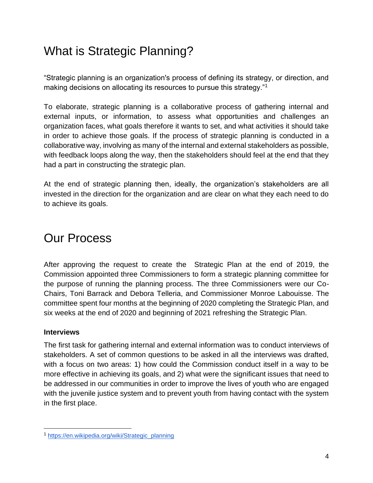### <span id="page-4-0"></span>What is Strategic Planning?

"Strategic planning is an organization's process of defining its strategy, or direction, and making decisions on allocating its resources to pursue this strategy."<sup>1</sup>

To elaborate, strategic planning is a collaborative process of gathering internal and external inputs, or information, to assess what opportunities and challenges an organization faces, what goals therefore it wants to set, and what activities it should take in order to achieve those goals. If the process of strategic planning is conducted in a collaborative way, involving as many of the internal and external stakeholders as possible, with feedback loops along the way, then the stakeholders should feel at the end that they had a part in constructing the strategic plan.

At the end of strategic planning then, ideally, the organization's stakeholders are all invested in the direction for the organization and are clear on what they each need to do to achieve its goals.

### <span id="page-4-1"></span>Our Process

After approving the request to create the Strategic Plan at the end of 2019, the Commission appointed three Commissioners to form a strategic planning committee for the purpose of running the planning process. The three Commissioners were our Co-Chairs, Toni Barrack and Debora Telleria, and Commissioner Monroe Labouisse. The committee spent four months at the beginning of 2020 completing the Strategic Plan, and six weeks at the end of 2020 and beginning of 2021 refreshing the Strategic Plan.

#### **Interviews**

The first task for gathering internal and external information was to conduct interviews of stakeholders. A set of common questions to be asked in all the interviews was drafted, with a focus on two areas: 1) how could the Commission conduct itself in a way to be more effective in achieving its goals, and 2) what were the significant issues that need to be addressed in our communities in order to improve the lives of youth who are engaged with the juvenile justice system and to prevent youth from having contact with the system in the first place.

<sup>1</sup> [https://en.wikipedia.org/wiki/Strategic\\_planning](https://en.wikipedia.org/wiki/Strategic_planning)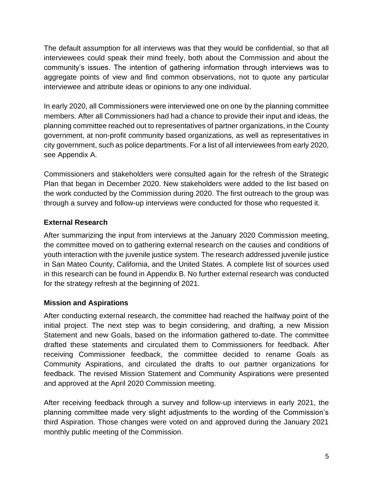The default assumption for all interviews was that they would be confidential, so that all interviewees could speak their mind freely, both about the Commission and about the community's issues. The intention of gathering information through interviews was to aggregate points of view and find common observations, not to quote any particular interviewee and attribute ideas or opinions to any one individual.

In early 2020, all Commissioners were interviewed one on one by the planning committee members. After all Commissioners had had a chance to provide their input and ideas, the planning committee reached out to representatives of partner organizations, in the County government, at non-profit community based organizations, as well as representatives in city government, such as police departments. For a list of all interviewees from early 2020, see Appendix A.

Commissioners and stakeholders were consulted again for the refresh of the Strategic Plan that began in December 2020. New stakeholders were added to the list based on the work conducted by the Commission during 2020. The first outreach to the group was through a survey and follow-up interviews were conducted for those who requested it.

#### **External Research**

After summarizing the input from interviews at the January 2020 Commission meeting, the committee moved on to gathering external research on the causes and conditions of youth interaction with the juvenile justice system. The research addressed juvenile justice in San Mateo County, California, and the United States. A complete list of sources used in this research can be found in Appendix B. No further external research was conducted for the strategy refresh at the beginning of 2021.

#### **Mission and Aspirations**

After conducting external research, the committee had reached the halfway point of the initial project. The next step was to begin considering, and drafting, a new Mission Statement and new Goals, based on the information gathered to-date. The committee drafted these statements and circulated them to Commissioners for feedback. After receiving Commissioner feedback, the committee decided to rename Goals as Community Aspirations, and circulated the drafts to our partner organizations for feedback. The revised Mission Statement and Community Aspirations were presented and approved at the April 2020 Commission meeting.

After receiving feedback through a survey and follow-up interviews in early 2021, the planning committee made very slight adjustments to the wording of the Commission's third Aspiration. Those changes were voted on and approved during the January 2021 monthly public meeting of the Commission.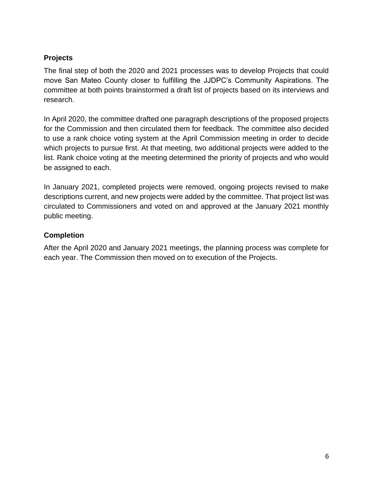#### **Projects**

The final step of both the 2020 and 2021 processes was to develop Projects that could move San Mateo County closer to fulfilling the JJDPC's Community Aspirations. The committee at both points brainstormed a draft list of projects based on its interviews and research.

In April 2020, the committee drafted one paragraph descriptions of the proposed projects for the Commission and then circulated them for feedback. The committee also decided to use a rank choice voting system at the April Commission meeting in order to decide which projects to pursue first. At that meeting, two additional projects were added to the list. Rank choice voting at the meeting determined the priority of projects and who would be assigned to each.

In January 2021, completed projects were removed, ongoing projects revised to make descriptions current, and new projects were added by the committee. That project list was circulated to Commissioners and voted on and approved at the January 2021 monthly public meeting.

#### **Completion**

After the April 2020 and January 2021 meetings, the planning process was complete for each year. The Commission then moved on to execution of the Projects.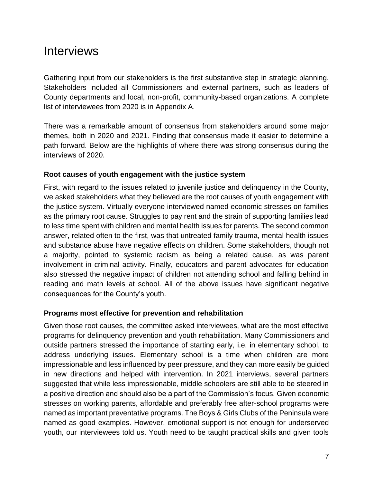### <span id="page-7-0"></span>**Interviews**

Gathering input from our stakeholders is the first substantive step in strategic planning. Stakeholders included all Commissioners and external partners, such as leaders of County departments and local, non-profit, community-based organizations. A complete list of interviewees from 2020 is in Appendix A.

There was a remarkable amount of consensus from stakeholders around some major themes, both in 2020 and 2021. Finding that consensus made it easier to determine a path forward. Below are the highlights of where there was strong consensus during the interviews of 2020.

#### **Root causes of youth engagement with the justice system**

First, with regard to the issues related to juvenile justice and delinquency in the County, we asked stakeholders what they believed are the root causes of youth engagement with the justice system. Virtually everyone interviewed named economic stresses on families as the primary root cause. Struggles to pay rent and the strain of supporting families lead to less time spent with children and mental health issues for parents. The second common answer, related often to the first, was that untreated family trauma, mental health issues and substance abuse have negative effects on children. Some stakeholders, though not a majority, pointed to systemic racism as being a related cause, as was parent involvement in criminal activity. Finally, educators and parent advocates for education also stressed the negative impact of children not attending school and falling behind in reading and math levels at school. All of the above issues have significant negative consequences for the County's youth.

#### **Programs most effective for prevention and rehabilitation**

Given those root causes, the committee asked interviewees, what are the most effective programs for delinquency prevention and youth rehabilitation. Many Commissioners and outside partners stressed the importance of starting early, i.e. in elementary school, to address underlying issues. Elementary school is a time when children are more impressionable and less influenced by peer pressure, and they can more easily be guided in new directions and helped with intervention. In 2021 interviews, several partners suggested that while less impressionable, middle schoolers are still able to be steered in a positive direction and should also be a part of the Commission's focus. Given economic stresses on working parents, affordable and preferably free after-school programs were named as important preventative programs. The Boys & Girls Clubs of the Peninsula were named as good examples. However, emotional support is not enough for underserved youth, our interviewees told us. Youth need to be taught practical skills and given tools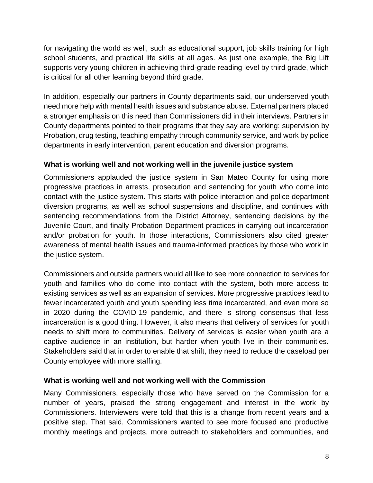for navigating the world as well, such as educational support, job skills training for high school students, and practical life skills at all ages. As just one example, the Big Lift supports very young children in achieving third-grade reading level by third grade, which is critical for all other learning beyond third grade.

In addition, especially our partners in County departments said, our underserved youth need more help with mental health issues and substance abuse. External partners placed a stronger emphasis on this need than Commissioners did in their interviews. Partners in County departments pointed to their programs that they say are working: supervision by Probation, drug testing, teaching empathy through community service, and work by police departments in early intervention, parent education and diversion programs.

#### **What is working well and not working well in the juvenile justice system**

Commissioners applauded the justice system in San Mateo County for using more progressive practices in arrests, prosecution and sentencing for youth who come into contact with the justice system. This starts with police interaction and police department diversion programs, as well as school suspensions and discipline, and continues with sentencing recommendations from the District Attorney, sentencing decisions by the Juvenile Court, and finally Probation Department practices in carrying out incarceration and/or probation for youth. In those interactions, Commissioners also cited greater awareness of mental health issues and trauma-informed practices by those who work in the justice system.

Commissioners and outside partners would all like to see more connection to services for youth and families who do come into contact with the system, both more access to existing services as well as an expansion of services. More progressive practices lead to fewer incarcerated youth and youth spending less time incarcerated, and even more so in 2020 during the COVID-19 pandemic, and there is strong consensus that less incarceration is a good thing. However, it also means that delivery of services for youth needs to shift more to communities. Delivery of services is easier when youth are a captive audience in an institution, but harder when youth live in their communities. Stakeholders said that in order to enable that shift, they need to reduce the caseload per County employee with more staffing.

#### **What is working well and not working well with the Commission**

Many Commissioners, especially those who have served on the Commission for a number of years, praised the strong engagement and interest in the work by Commissioners. Interviewers were told that this is a change from recent years and a positive step. That said, Commissioners wanted to see more focused and productive monthly meetings and projects, more outreach to stakeholders and communities, and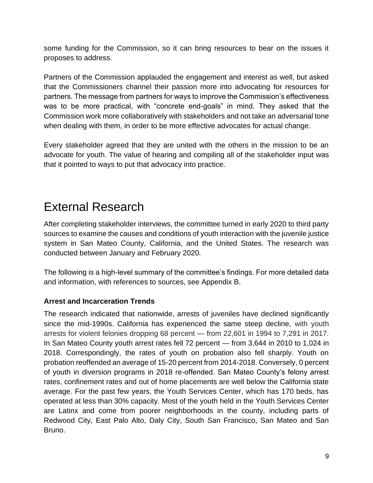some funding for the Commission, so it can bring resources to bear on the issues it proposes to address.

Partners of the Commission applauded the engagement and interest as well, but asked that the Commissioners channel their passion more into advocating for resources for partners. The message from partners for ways to improve the Commission's effectiveness was to be more practical, with "concrete end-goals" in mind. They asked that the Commission work more collaboratively with stakeholders and not take an adversarial tone when dealing with them, in order to be more effective advocates for actual change.

Every stakeholder agreed that they are united with the others in the mission to be an advocate for youth. The value of hearing and compiling all of the stakeholder input was that it pointed to ways to put that advocacy into practice.

### <span id="page-9-0"></span>External Research

After completing stakeholder interviews, the committee turned in early 2020 to third party sources to examine the causes and conditions of youth interaction with the juvenile justice system in San Mateo County, California, and the United States. The research was conducted between January and February 2020.

The following is a high-level summary of the committee's findings. For more detailed data and information, with references to sources, see Appendix B.

#### **Arrest and Incarceration Trends**

The research indicated that nationwide, arrests of juveniles have declined significantly since the mid-1990s. California has experienced the same steep decline, with youth arrests for violent felonies dropping 68 percent — from 22,601 in 1994 to 7,291 in 2017. In San Mateo County youth arrest rates fell 72 percent — from 3,644 in 2010 to 1,024 in 2018. Correspondingly, the rates of youth on probation also fell sharply. Youth on probation reoffended an average of 15-20 percent from 2014-2018. Conversely, 0 percent of youth in diversion programs in 2018 re-offended. San Mateo County's felony arrest rates, confinement rates and out of home placements are well below the California state average. For the past few years, the Youth Services Center, which has 170 beds, has operated at less than 30% capacity. Most of the youth held in the Youth Services Center are Latinx and come from poorer neighborhoods in the county, including parts of Redwood City, East Palo Alto, Daly City, South San Francisco, San Mateo and San Bruno.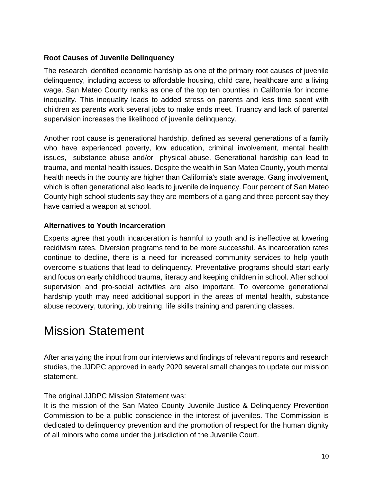#### **Root Causes of Juvenile Delinquency**

The research identified economic hardship as one of the primary root causes of juvenile delinquency, including access to affordable housing, child care, healthcare and a living wage. San Mateo County ranks as one of the top ten counties in California for income inequality. This inequality leads to added stress on parents and less time spent with children as parents work several jobs to make ends meet. Truancy and lack of parental supervision increases the likelihood of juvenile delinquency.

Another root cause is generational hardship, defined as several generations of a family who have experienced poverty, low education, criminal involvement, mental health issues, substance abuse and/or physical abuse. Generational hardship can lead to trauma, and mental health issues. Despite the wealth in San Mateo County, youth mental health needs in the county are higher than California's state average. Gang involvement, which is often generational also leads to juvenile delinquency. Four percent of San Mateo County high school students say they are members of a gang and three percent say they have carried a weapon at school.

#### **Alternatives to Youth Incarceration**

Experts agree that youth incarceration is harmful to youth and is ineffective at lowering recidivism rates. Diversion programs tend to be more successful. As incarceration rates continue to decline, there is a need for increased community services to help youth overcome situations that lead to delinquency. Preventative programs should start early and focus on early childhood trauma, literacy and keeping children in school. After school supervision and pro-social activities are also important. To overcome generational hardship youth may need additional support in the areas of mental health, substance abuse recovery, tutoring, job training, life skills training and parenting classes.

### <span id="page-10-0"></span>Mission Statement

After analyzing the input from our interviews and findings of relevant reports and research studies, the JJDPC approved in early 2020 several small changes to update our mission statement.

The original JJDPC Mission Statement was:

It is the mission of the San Mateo County Juvenile Justice & Delinquency Prevention Commission to be a public conscience in the interest of juveniles. The Commission is dedicated to delinquency prevention and the promotion of respect for the human dignity of all minors who come under the jurisdiction of the Juvenile Court.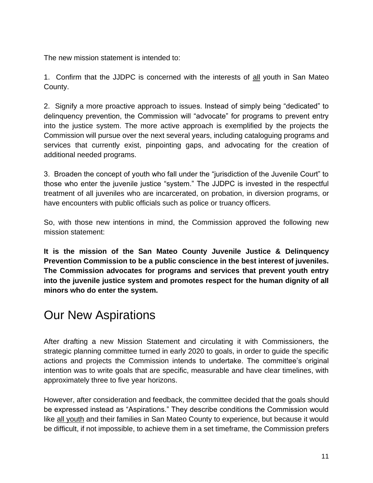The new mission statement is intended to:

1. Confirm that the JJDPC is concerned with the interests of all youth in San Mateo County.

2. Signify a more proactive approach to issues. Instead of simply being "dedicated" to delinquency prevention, the Commission will "advocate" for programs to prevent entry into the justice system. The more active approach is exemplified by the projects the Commission will pursue over the next several years, including cataloguing programs and services that currently exist, pinpointing gaps, and advocating for the creation of additional needed programs.

3. Broaden the concept of youth who fall under the "jurisdiction of the Juvenile Court" to those who enter the juvenile justice "system." The JJDPC is invested in the respectful treatment of all juveniles who are incarcerated, on probation, in diversion programs, or have encounters with public officials such as police or truancy officers.

So, with those new intentions in mind, the Commission approved the following new mission statement:

**It is the mission of the San Mateo County Juvenile Justice & Delinquency Prevention Commission to be a public conscience in the best interest of juveniles. The Commission advocates for programs and services that prevent youth entry into the juvenile justice system and promotes respect for the human dignity of all minors who do enter the system.**

### <span id="page-11-0"></span>Our New Aspirations

After drafting a new Mission Statement and circulating it with Commissioners, the strategic planning committee turned in early 2020 to goals, in order to guide the specific actions and projects the Commission intends to undertake. The committee's original intention was to write goals that are specific, measurable and have clear timelines, with approximately three to five year horizons.

However, after consideration and feedback, the committee decided that the goals should be expressed instead as "Aspirations." They describe conditions the Commission would like all youth and their families in San Mateo County to experience, but because it would be difficult, if not impossible, to achieve them in a set timeframe, the Commission prefers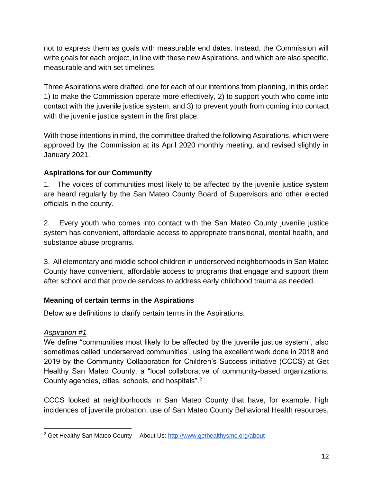not to express them as goals with measurable end dates. Instead, the Commission will write goals for each project, in line with these new Aspirations, and which are also specific, measurable and with set timelines.

Three Aspirations were drafted, one for each of our intentions from planning, in this order: 1) to make the Commission operate more effectively, 2) to support youth who come into contact with the juvenile justice system, and 3) to prevent youth from coming into contact with the juvenile justice system in the first place.

With those intentions in mind, the committee drafted the following Aspirations, which were approved by the Commission at its April 2020 monthly meeting, and revised slightly in January 2021.

#### **Aspirations for our Community**

1. The voices of communities most likely to be affected by the juvenile justice system are heard regularly by the San Mateo County Board of Supervisors and other elected officials in the county.

2. Every youth who comes into contact with the San Mateo County juvenile justice system has convenient, affordable access to appropriate transitional, mental health, and substance abuse programs.

3. All elementary and middle school children in underserved neighborhoods in San Mateo County have convenient, affordable access to programs that engage and support them after school and that provide services to address early childhood trauma as needed.

#### **Meaning of certain terms in the Aspirations**

Below are definitions to clarify certain terms in the Aspirations.

#### *Aspiration #1*

We define "communities most likely to be affected by the juvenile justice system", also sometimes called 'underserved communities', using the excellent work done in 2018 and 2019 by the Community Collaboration for Children's Success initiative (CCCS) at Get Healthy San Mateo County, a "local collaborative of community-based organizations, County agencies, cities, schools, and hospitals".<sup>2</sup>

CCCS looked at neighborhoods in San Mateo County that have, for example, high incidences of juvenile probation, use of San Mateo County Behavioral Health resources,

<sup>&</sup>lt;sup>2</sup> Get Healthy San Mateo County -- About Us:<http://www.gethealthysmc.org/about>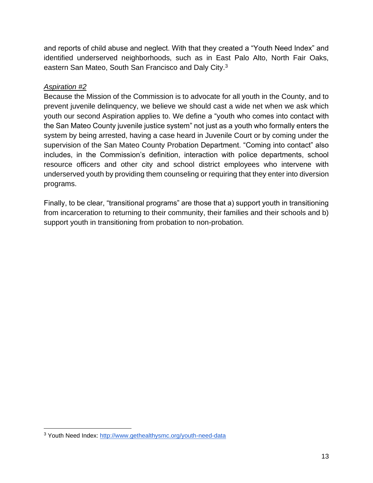and reports of child abuse and neglect. With that they created a "Youth Need Index" and identified underserved neighborhoods, such as in East Palo Alto, North Fair Oaks, eastern San Mateo, South San Francisco and Daly City.<sup>3</sup>

#### *Aspiration #2*

Because the Mission of the Commission is to advocate for all youth in the County, and to prevent juvenile delinquency, we believe we should cast a wide net when we ask which youth our second Aspiration applies to. We define a "youth who comes into contact with the San Mateo County juvenile justice system" not just as a youth who formally enters the system by being arrested, having a case heard in Juvenile Court or by coming under the supervision of the San Mateo County Probation Department. "Coming into contact" also includes, in the Commission's definition, interaction with police departments, school resource officers and other city and school district employees who intervene with underserved youth by providing them counseling or requiring that they enter into diversion programs.

Finally, to be clear, "transitional programs" are those that a) support youth in transitioning from incarceration to returning to their community, their families and their schools and b) support youth in transitioning from probation to non-probation.

<sup>&</sup>lt;sup>3</sup> Youth Need Index:<http://www.gethealthysmc.org/youth-need-data>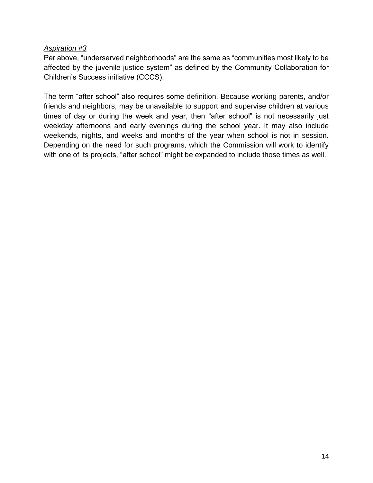#### *Aspiration #3*

Per above, "underserved neighborhoods" are the same as "communities most likely to be affected by the juvenile justice system" as defined by the Community Collaboration for Children's Success initiative (CCCS).

The term "after school" also requires some definition. Because working parents, and/or friends and neighbors, may be unavailable to support and supervise children at various times of day or during the week and year, then "after school" is not necessarily just weekday afternoons and early evenings during the school year. It may also include weekends, nights, and weeks and months of the year when school is not in session. Depending on the need for such programs, which the Commission will work to identify with one of its projects, "after school" might be expanded to include those times as well.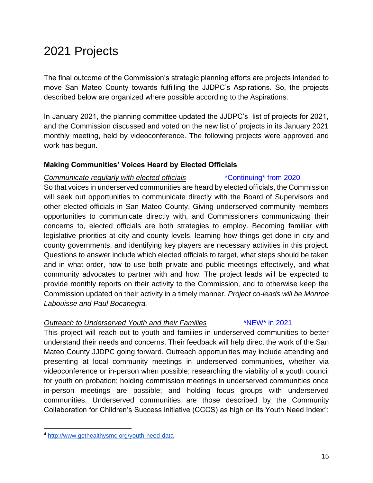### <span id="page-15-0"></span>2021 Projects

The final outcome of the Commission's strategic planning efforts are projects intended to move San Mateo County towards fulfilling the JJDPC's Aspirations. So, the projects described below are organized where possible according to the Aspirations.

In January 2021, the planning committee updated the JJDPC's list of projects for 2021, and the Commission discussed and voted on the new list of projects in its January 2021 monthly meeting, held by videoconference. The following projects were approved and work has begun.

#### **Making Communities' Voices Heard by Elected Officials**

#### *Communicate regularly with elected officials* \*Continuing\* from 2020

So that voices in underserved communities are heard by elected officials, the Commission will seek out opportunities to communicate directly with the Board of Supervisors and other elected officials in San Mateo County. Giving underserved community members opportunities to communicate directly with, and Commissioners communicating their concerns to, elected officials are both strategies to employ. Becoming familiar with legislative priorities at city and county levels, learning how things get done in city and county governments, and identifying key players are necessary activities in this project. Questions to answer include which elected officials to target, what steps should be taken and in what order, how to use both private and public meetings effectively, and what community advocates to partner with and how. The project leads will be expected to provide monthly reports on their activity to the Commission, and to otherwise keep the Commission updated on their activity in a timely manner. *Project co-leads will be Monroe Labouisse and Paul Bocanegra.*

#### *Outreach to Underserved Youth and their Families* \*NEW\* in 2021

This project will reach out to youth and families in underserved communities to better understand their needs and concerns. Their feedback will help direct the work of the San Mateo County JJDPC going forward. Outreach opportunities may include attending and presenting at local community meetings in underserved communities, whether via videoconference or in-person when possible; researching the viability of a youth council for youth on probation; holding commission meetings in underserved communities once in-person meetings are possible; and holding focus groups with underserved communities. Underserved communities are those described by the Community Collaboration for Children's Success initiative (CCCS) as high on its Youth Need Index<sup>4</sup>;

<sup>4</sup> <http://www.gethealthysmc.org/youth-need-data>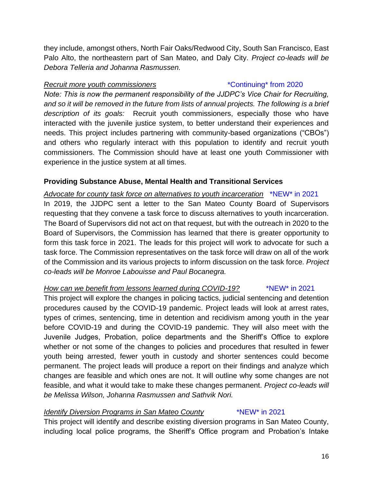they include, amongst others, North Fair Oaks/Redwood City, South San Francisco, East Palo Alto, the northeastern part of San Mateo, and Daly City. *Project co-leads will be Debora Telleria and Johanna Rasmussen.*

#### *Recruit more youth commissioners* \*Continuing\* from 2020

*Note: This is now the permanent responsibility of the JJDPC's Vice Chair for Recruiting, and so it will be removed in the future from lists of annual projects. The following is a brief description of its goals:* Recruit youth commissioners, especially those who have interacted with the juvenile justice system, to better understand their experiences and needs. This project includes partnering with community-based organizations ("CBOs") and others who regularly interact with this population to identify and recruit youth commissioners. The Commission should have at least one youth Commissioner with experience in the justice system at all times.

#### **Providing Substance Abuse, Mental Health and Transitional Services**

*Advocate for county task force on alternatives to youth incarceration* \*NEW\* in 2021 In 2019, the JJDPC sent a letter to the San Mateo County Board of Supervisors requesting that they convene a task force to discuss alternatives to youth incarceration. The Board of Supervisors did not act on that request, but with the outreach in 2020 to the Board of Supervisors, the Commission has learned that there is greater opportunity to form this task force in 2021. The leads for this project will work to advocate for such a task force. The Commission representatives on the task force will draw on all of the work of the Commission and its various projects to inform discussion on the task force. *Project co-leads will be Monroe Labouisse and Paul Bocanegra.*

#### *How can we benefit from lessons learned during COVID-19?* \*\*NEW\* in 2021

This project will explore the changes in policing tactics, judicial sentencing and detention procedures caused by the COVID-19 pandemic. Project leads will look at arrest rates, types of crimes, sentencing, time in detention and recidivism among youth in the year before COVID-19 and during the COVID-19 pandemic. They will also meet with the Juvenile Judges, Probation, police departments and the Sheriff's Office to explore whether or not some of the changes to policies and procedures that resulted in fewer youth being arrested, fewer youth in custody and shorter sentences could become permanent. The project leads will produce a report on their findings and analyze which changes are feasible and which ones are not. It will outline why some changes are not feasible, and what it would take to make these changes permanent. *Project co-leads will be Melissa Wilson, Johanna Rasmussen and Sathvik Nori.*

#### *Identify Diversion Programs in San Mateo County* \*NEW\* in 2021

This project will identify and describe existing diversion programs in San Mateo County, including local police programs, the Sheriff's Office program and Probation's Intake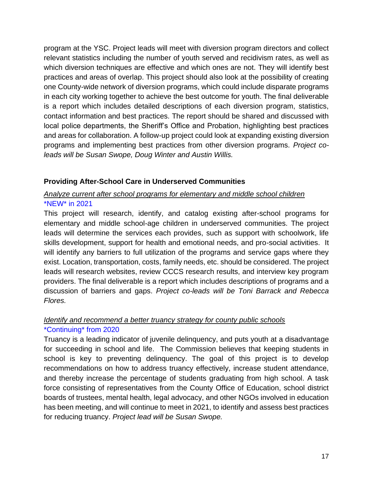program at the YSC. Project leads will meet with diversion program directors and collect relevant statistics including the number of youth served and recidivism rates, as well as which diversion techniques are effective and which ones are not. They will identify best practices and areas of overlap. This project should also look at the possibility of creating one County-wide network of diversion programs, which could include disparate programs in each city working together to achieve the best outcome for youth. The final deliverable is a report which includes detailed descriptions of each diversion program, statistics, contact information and best practices. The report should be shared and discussed with local police departments, the Sheriff's Office and Probation, highlighting best practices and areas for collaboration. A follow-up project could look at expanding existing diversion programs and implementing best practices from other diversion programs. *Project coleads will be Susan Swope, Doug Winter and Austin Willis.*

#### **Providing After-School Care in Underserved Communities**

#### *Analyze current after school programs for elementary and middle school children* \*NEW\* in 2021

This project will research, identify, and catalog existing after-school programs for elementary and middle school-age children in underserved communities. The project leads will determine the services each provides, such as support with schoolwork, life skills development, support for health and emotional needs, and pro-social activities. It will identify any barriers to full utilization of the programs and service gaps where they exist. Location, transportation, costs, family needs, etc. should be considered. The project leads will research websites, review CCCS research results, and interview key program providers. The final deliverable is a report which includes descriptions of programs and a discussion of barriers and gaps. *Project co-leads will be Toni Barrack and Rebecca Flores.*

#### *Identify and recommend a better truancy strategy for county public schools*

#### \*Continuing\* from 2020

Truancy is a leading indicator of juvenile delinquency, and puts youth at a disadvantage for succeeding in school and life. The Commission believes that keeping students in school is key to preventing delinquency. The goal of this project is to develop recommendations on how to address truancy effectively, increase student attendance, and thereby increase the percentage of students graduating from high school. A task force consisting of representatives from the County Office of Education, school district boards of trustees, mental health, legal advocacy, and other NGOs involved in education has been meeting, and will continue to meet in 2021, to identify and assess best practices for reducing truancy. *Project lead will be Susan Swope.*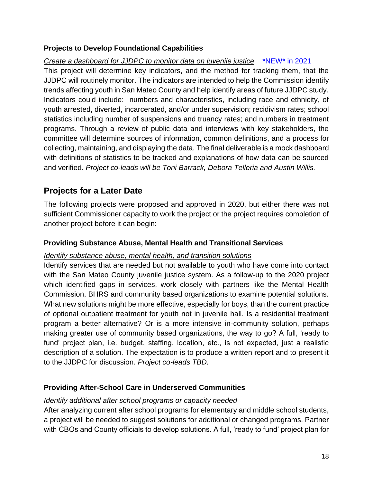#### **Projects to Develop Foundational Capabilities**

*Create a dashboard for JJDPC to monitor data on juvenile justice* \*NEW\* in 2021 This project will determine key indicators, and the method for tracking them, that the JJDPC will routinely monitor. The indicators are intended to help the Commission identify trends affecting youth in San Mateo County and help identify areas of future JJDPC study. Indicators could include: numbers and characteristics, including race and ethnicity, of youth arrested, diverted, incarcerated, and/or under supervision; recidivism rates; school statistics including number of suspensions and truancy rates; and numbers in treatment programs. Through a review of public data and interviews with key stakeholders, the committee will determine sources of information, common definitions, and a process for collecting, maintaining, and displaying the data. The final deliverable is a mock dashboard with definitions of statistics to be tracked and explanations of how data can be sourced and verified. *Project co-leads will be Toni Barrack, Debora Telleria and Austin Willis.*

#### **Projects for a Later Date**

The following projects were proposed and approved in 2020, but either there was not sufficient Commissioner capacity to work the project or the project requires completion of another project before it can begin:

#### **Providing Substance Abuse, Mental Health and Transitional Services**

#### *Identify substance abuse, mental health, and transition solutions*

Identify services that are needed but not available to youth who have come into contact with the San Mateo County juvenile justice system. As a follow-up to the 2020 project which identified gaps in services, work closely with partners like the Mental Health Commission, BHRS and community based organizations to examine potential solutions. What new solutions might be more effective, especially for boys, than the current practice of optional outpatient treatment for youth not in juvenile hall. Is a residential treatment program a better alternative? Or is a more intensive in-community solution, perhaps making greater use of community based organizations, the way to go? A full, 'ready to fund' project plan, i.e. budget, staffing, location, etc., is not expected, just a realistic description of a solution. The expectation is to produce a written report and to present it to the JJDPC for discussion. *Project co-leads TBD.* 

#### **Providing After-School Care in Underserved Communities**

#### *Identify additional after school programs or capacity needed*

After analyzing current after school programs for elementary and middle school students, a project will be needed to suggest solutions for additional or changed programs. Partner with CBOs and County officials to develop solutions. A full, 'ready to fund' project plan for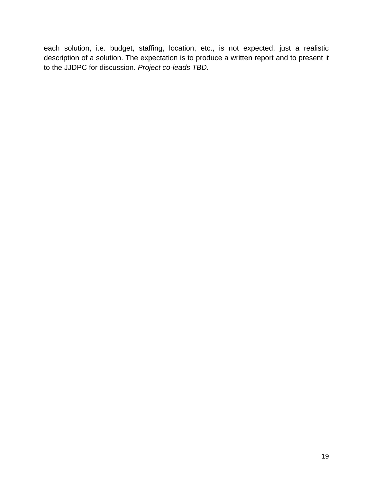each solution, i.e. budget, staffing, location, etc., is not expected, just a realistic description of a solution. The expectation is to produce a written report and to present it to the JJDPC for discussion. *Project co-leads TBD.*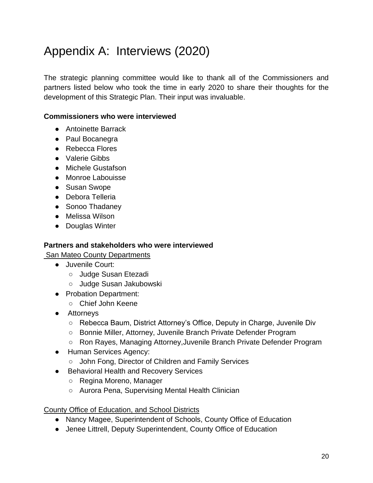### <span id="page-20-0"></span>Appendix A: Interviews (2020)

The strategic planning committee would like to thank all of the Commissioners and partners listed below who took the time in early 2020 to share their thoughts for the development of this Strategic Plan. Their input was invaluable.

#### **Commissioners who were interviewed**

- Antoinette Barrack
- Paul Bocanegra
- Rebecca Flores
- Valerie Gibbs
- Michele Gustafson
- Monroe Labouisse
- Susan Swope
- Debora Telleria
- Sonoo Thadaney
- Melissa Wilson
- Douglas Winter

#### **Partners and stakeholders who were interviewed**

San Mateo County Departments

- Juvenile Court:
	- Judge Susan Etezadi
	- Judge Susan Jakubowski
- Probation Department:
	- Chief John Keene
- Attorneys
	- Rebecca Baum, District Attorney's Office, Deputy in Charge, Juvenile Div
	- Bonnie Miller, Attorney, Juvenile Branch Private Defender Program
	- Ron Rayes, Managing Attorney,Juvenile Branch Private Defender Program
- Human Services Agency:
	- John Fong, Director of Children and Family Services
- Behavioral Health and Recovery Services
	- Regina Moreno, Manager
	- Aurora Pena, Supervising Mental Health Clinician

#### County Office of Education, and School Districts

- Nancy Magee, Superintendent of Schools, County Office of Education
- Jenee Littrell, Deputy Superintendent, County Office of Education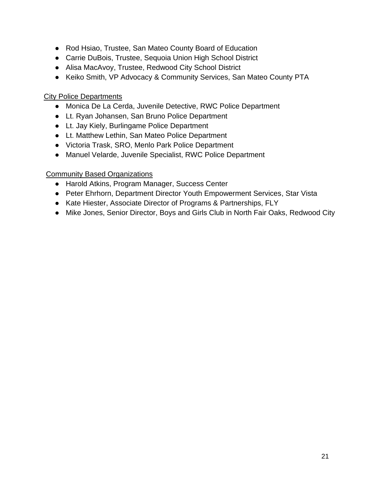- Rod Hsiao, Trustee, San Mateo County Board of Education
- Carrie DuBois, Trustee, Sequoia Union High School District
- Alisa MacAvoy, Trustee, Redwood City School District
- Keiko Smith, VP Advocacy & Community Services, San Mateo County PTA

#### City Police Departments

- Monica De La Cerda, Juvenile Detective, RWC Police Department
- Lt. Ryan Johansen, San Bruno Police Department
- Lt. Jay Kiely, Burlingame Police Department
- Lt. Matthew Lethin, San Mateo Police Department
- Victoria Trask, SRO, Menlo Park Police Department
- Manuel Velarde, Juvenile Specialist, RWC Police Department

#### Community Based Organizations

- Harold Atkins, Program Manager, Success Center
- Peter Ehrhorn, Department Director Youth Empowerment Services, Star Vista
- Kate Hiester, Associate Director of Programs & Partnerships, FLY
- Mike Jones, Senior Director, Boys and Girls Club in North Fair Oaks, Redwood City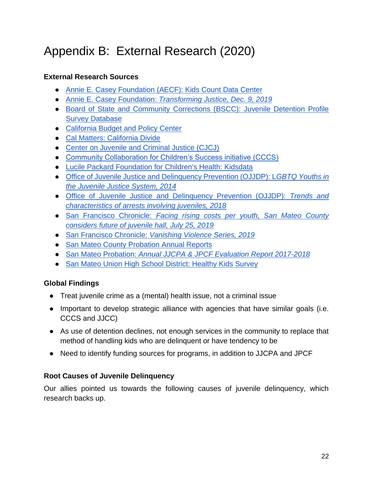## <span id="page-22-0"></span>Appendix B: External Research (2020)

#### **External Research Sources**

- [Annie E. Casey Foundation \(AECF\): Kids Count Data Center](https://datacenter.kidscount.org/)
- [Annie E. Casey Foundation:](https://www.aecf.org/resources/transforming-justice/) *[Transforming Justice, Dec. 9, 2019](https://www.aecf.org/resources/transforming-justice/)*
- [Board of State and Community Corrections \(BSCC\): Juvenile Detention Profile](http://www.bscc.ca.gov/s_fsojuveniledetentionprofile/)  [Survey Database](http://www.bscc.ca.gov/s_fsojuveniledetentionprofile/)
- [California Budget and Policy Center](https://calbudgetcenter.org/resources/income-inequality-significantly-increased-for-californians-in-2018/)
- [Cal Matters: California Divide](https://calmatters.org/category/california-divide/)
- [Center on Juvenile and Criminal Justice \(CJCJ\)](http://cjcj.org/)
- [Community Collaboration for Children's Success initiative \(CCCS\)](http://www.gethealthysmc.org/community-collaboration-childrens-success)
- [Lucile Packard Foundation for Children's Health: Kidsdata](https://www.kidsdata.org/)
- [Office of Juvenile Justice and Delinquency Prevention \(OJJDP\): L](https://www.ojjdp.gov/mpg/litreviews/LGBTQYouthsintheJuvenileJusticeSystem.pdf)*[GBTQ Youths in](https://www.ojjdp.gov/mpg/litreviews/LGBTQYouthsintheJuvenileJusticeSystem.pdf)  [the Juvenile Justice System, 2014](https://www.ojjdp.gov/mpg/litreviews/LGBTQYouthsintheJuvenileJusticeSystem.pdf)*
- [Office of Juvenile Justice and Delinquency Prevention \(OJJDP\):](https://www.ojjdp.gov/ojstatbb/snapshots/DataSnapshot_UCR2018.pdf) *[Trends and](https://www.ojjdp.gov/ojstatbb/snapshots/DataSnapshot_UCR2018.pdf)  [characteristics of arrests involving juveniles, 2018](https://www.ojjdp.gov/ojstatbb/snapshots/DataSnapshot_UCR2018.pdf)*
- [San Francisco Chronicle:](https://www.sfchronicle.com/bayarea/article/Facing-rising-costs-per-youth-San-Mateo-County-14123970.php) *[Facing rising costs per youth, San Mateo County](https://www.sfchronicle.com/bayarea/article/Facing-rising-costs-per-youth-San-Mateo-County-14123970.php)  [considers future of juvenile hall, July 25, 2019](https://www.sfchronicle.com/bayarea/article/Facing-rising-costs-per-youth-San-Mateo-County-14123970.php)*
- [San Francisco Chronicle:](https://projects.sfchronicle.com/2019/vanishing-violence-series/) *[Vanishing Violence Series, 2019](https://projects.sfchronicle.com/2019/vanishing-violence-series/)*
- [San Mateo County Probation Annual Reports](https://probation.smcgov.org/probation-annual-reports)
- [San Mateo Probation:](https://probation.smcgov.org/sites/probation.smcgov.org/files/Comprehensive%20Annual%20Report%20(JJCPA-JPCF)%202017-2018.pdf) *[Annual JJCPA & JPCF Evaluation Report 2017-2018](https://probation.smcgov.org/sites/probation.smcgov.org/files/Comprehensive%20Annual%20Report%20(JJCPA-JPCF)%202017-2018.pdf)*
- [San Mateo Union High School District: Healthy Kids Survey](https://www.smuhsd.org/site/handlers/filedownload.ashx?moduleinstanceid=7250&dataid=10686&FileName=2017-2018%20CHKS%20Main%20Report.pdf)

#### **Global Findings**

- Treat juvenile crime as a (mental) health issue, not a criminal issue
- Important to develop strategic alliance with agencies that have similar goals (i.e. CCCS and JJCC)
- As use of detention declines, not enough services in the community to replace that method of handling kids who are delinquent or have tendency to be
- Need to identify funding sources for programs, in addition to JJCPA and JPCF

#### **Root Causes of Juvenile Delinquency**

Our allies pointed us towards the following causes of juvenile delinquency, which research backs up.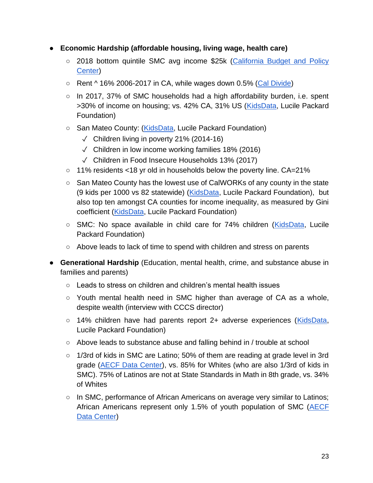- **Economic Hardship (affordable housing, living wage, health care)**
	- 2018 bottom quintile SMC avg income \$25k (California Budget and Policy [Center\)](https://calbudgetcenter.org/resources/income-inequality-significantly-increased-for-californians-in-2018/)
	- $\circ$  Rent ^ 16% 2006-2017 in CA, while wages down 0.5% [\(Cal Divide\)](https://calmatters.org/category/california-divide/)
	- $\circ$  In 2017, 37% of SMC households had a high affordability burden, i.e. spent >30% of income on housing; vs. 42% CA, 31% US [\(KidsData,](https://www.kidsdata.org/topic/38/family-income-and-poverty/summary) Lucile Packard Foundation)
	- San Mateo County: [\(KidsData,](https://www.kidsdata.org/topic/38/family-income-and-poverty/summary) Lucile Packard Foundation)
		- $\sqrt{}$  Children living in poverty 21% (2014-16)
		- $\sqrt{2}$  Children in low income working families 18% (2016)
		- ✓ Children in Food Insecure Households 13% (2017)
	- 11% residents <18 yr old in households below the poverty line. CA=21%
	- San Mateo County has the lowest use of CalWORKs of any county in the state (9 kids per 1000 vs 82 statewide) [\(KidsData,](https://www.kidsdata.org/topic/38/family-income-and-poverty/summary) Lucile Packard Foundation), but also top ten amongst CA counties for income inequality, as measured by Gini coefficient [\(KidsData,](https://www.kidsdata.org/topic/38/family-income-and-poverty/summary) Lucile Packard Foundation)
	- SMC: No space available in child care for 74% children [\(KidsData,](https://www.kidsdata.org/topic/38/family-income-and-poverty/summary) Lucile Packard Foundation)
	- Above leads to lack of time to spend with children and stress on parents
- **Generational Hardship** (Education, mental health, crime, and substance abuse in families and parents)
	- $\circ$  Leads to stress on children and children's mental health issues
	- Youth mental health need in SMC higher than average of CA as a whole, despite wealth (interview with CCCS director)
	- 14% children have had parents report 2+ adverse experiences [\(KidsData,](https://www.kidsdata.org/topic/38/family-income-and-poverty/summary) Lucile Packard Foundation)
	- Above leads to substance abuse and falling behind in / trouble at school
	- 1/3rd of kids in SMC are Latino; 50% of them are reading at grade level in 3rd grade [\(AECF Data Center\)](https://docs.google.com/document/d/1HKpuZ8LrT1oUzgc4zlbrppDBoExndCfWWTKbeEwd7-M/edit), vs. 85% for Whites (who are also 1/3rd of kids in SMC). 75% of Latinos are not at State Standards in Math in 8th grade, vs. 34% of Whites
	- In SMC, performance of African Americans on average very similar to Latinos; African Americans represent only 1.5% of youth population of SMC [\(AECF](https://docs.google.com/document/d/1HKpuZ8LrT1oUzgc4zlbrppDBoExndCfWWTKbeEwd7-M/edit)  [Data Center\)](https://docs.google.com/document/d/1HKpuZ8LrT1oUzgc4zlbrppDBoExndCfWWTKbeEwd7-M/edit)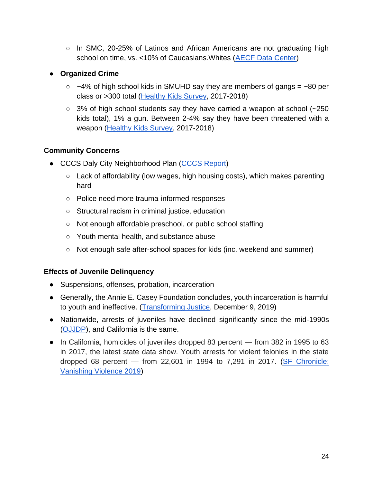$\circ$  In SMC, 20-25% of Latinos and African Americans are not graduating high school on time, vs. <10% of Caucasians.Whites [\(AECF Data Center\)](https://docs.google.com/document/d/1HKpuZ8LrT1oUzgc4zlbrppDBoExndCfWWTKbeEwd7-M/edit)

#### ● **Organized Crime**

- $\circ$  ~4% of high school kids in SMUHD say they are members of gangs = ~80 per class or >300 total [\(Healthy Kids Survey,](https://docs.google.com/document/d/1HbVYImLk0TapJV7HykNbDOcR12F5Y3wUrihNxrVsCRQ/edit) 2017-2018)
- 3% of high school students say they have carried a weapon at school (~250 kids total), 1% a gun. Between 2-4% say they have been threatened with a weapon (Healthy [Kids Survey,](https://docs.google.com/document/d/1HbVYImLk0TapJV7HykNbDOcR12F5Y3wUrihNxrVsCRQ/edit) 2017-2018)

#### **Community Concerns**

- CCCS Daly City Neighborhood Plan [\(CCCS Report\)](https://docs.google.com/document/d/1kzUXstillGw4aZlde3hHmsrHopaujRzsmS-sB7GvLOE/edit)
	- Lack of affordability (low wages, high housing costs), which makes parenting hard
	- Police need more trauma-informed responses
	- Structural racism in criminal justice, education
	- Not enough affordable preschool, or public school staffing
	- Youth mental health, and substance abuse
	- Not enough safe after-school spaces for kids (inc. weekend and summer)

#### **Effects of Juvenile Delinquency**

- Suspensions, offenses, probation, incarceration
- Generally, the Annie E. Casey Foundation concludes, youth incarceration is harmful to youth and ineffective. [\(Transforming Justice,](https://docs.google.com/document/d/1Mgs7ciK1ncuuto1464GulFBxQRXFYB2WcW1SPrmMuGc/edit) December 9, 2019)
- Nationwide, arrests of juveniles have declined significantly since the mid-1990s [\(OJJDP\)](https://www.ojjdp.gov/ojstatbb/snapshots/DataSnapshot_UCR2018.pdf), and California is the same.
- In California, homicides of juveniles dropped 83 percent from 382 in 1995 to 63 in 2017, the latest state data show. Youth arrests for violent felonies in the state dropped 68 percent — from 22,601 in 1994 to 7,291 in 2017. [\(SF Chronicle:](https://projects.sfchronicle.com/2019/vanishing-violence/)  [Vanishing Violence 2019\)](https://projects.sfchronicle.com/2019/vanishing-violence/)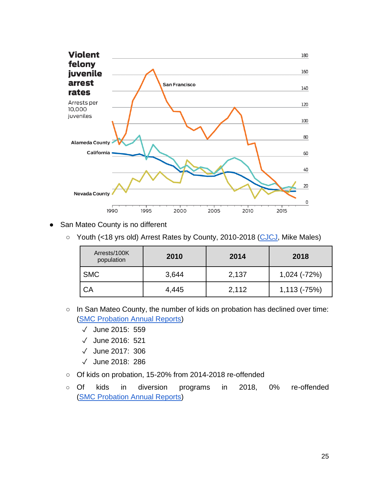

- San Mateo County is no different
	- Youth (<18 yrs old) Arrest Rates by County, 2010-2018 [\(CJCJ,](https://docs.google.com/document/d/1_hYY6A9OLgTi-5TUGNXXgHETnhOnpkim/edit) Mike Males)

| Arrests/100K<br>population | 2010  | 2014  | 2018                |
|----------------------------|-------|-------|---------------------|
| <b>SMC</b>                 | 3,644 | 2,137 | $1,024$ ( $-72\%$ ) |
| CA                         | 4,445 | 2,112 | $1,113(-75%)$       |

- In San Mateo County, the number of kids on probation has declined over time: [\(SMC Probation Annual Reports\)](https://docs.google.com/document/d/1dMD6IkmiqYD9HvBauPekpVUY9mSsQGN-/edit)
	- ✓ June 2015: 559
	- ✓ June 2016: 521
	- ✓ June 2017: 306
	- ✓ June 2018: 286
- Of kids on probation, 15-20% from 2014-2018 re-offended
- Of kids in diversion programs in 2018, 0% re-offended [\(SMC Probation Annual Reports\)](https://docs.google.com/document/d/1dMD6IkmiqYD9HvBauPekpVUY9mSsQGN-/edit)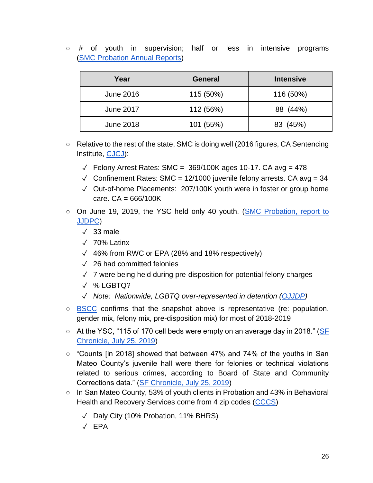$\circ$  # of youth in supervision; half or less in intensive programs [\(SMC Probation Annual Reports\)](https://docs.google.com/document/d/1dMD6IkmiqYD9HvBauPekpVUY9mSsQGN-/edit)

| Year             | <b>General</b> | <b>Intensive</b> |
|------------------|----------------|------------------|
| June 2016        | 115 (50%)      | 116 (50%)        |
| <b>June 2017</b> | 112 (56%)      | 88 (44%)         |
| <b>June 2018</b> | 101 (55%)      | 83 (45%)         |

- Relative to the rest of the state, SMC is doing well (2016 figures, CA Sentencing Institute, [CJCJ\)](https://docs.google.com/document/d/1_hYY6A9OLgTi-5TUGNXXgHETnhOnpkim/edit):
	- $\sqrt{ }$  Felony Arrest Rates: SMC = 369/100K ages 10-17. CA avg = 478
	- $\sqrt{2}$  Confinement Rates: SMC = 12/1000 juvenile felony arrests. CA avg = 34
	- ✓ Out-of-home Placements: 207/100K youth were in foster or group home care.  $CA = 666/100K$
- On June 19, 2019, the YSC held only 40 youth. (SMC Probation, report to [JJDPC\)](https://drive.google.com/file/d/1iJc3egmZhaJxgkqJGtbqf6lpx3uyxami/view?usp=sharing)
	- $\sqrt{33}$  male
	- ✓ 70% Latinx
	- ✓ 46% from RWC or EPA (28% and 18% respectively)
	- $\sqrt{26}$  had committed felonies
	- ✓ 7 were being held during pre-disposition for potential felony charges
	- ✓ % LGBTQ?
	- ✓ *Note: Nationwide, LGBTQ over-represented in detention [\(OJJDP\)](https://www.ojjdp.gov/mpg/litreviews/LGBTQYouthsintheJuvenileJusticeSystem.pdf)*
- [BSCC](https://docs.google.com/document/d/1mTZflXYWEKD47yfNbCk2UATbE_rXK7VyQNeoNKmzhlw/edit) confirms that the snapshot above is representative (re: population, gender mix, felony mix, pre-disposition mix) for most of 2018-2019
- At the YSC, "115 of 170 cell beds were empty on an average day in 2018." (SF [Chronicle, July 25, 2019\)](https://www.sfchronicle.com/bayarea/article/Facing-rising-costs-per-youth-San-Mateo-County-14123970.php)
- "Counts [in 2018] showed that between 47% and 74% of the youths in San Mateo County's juvenile hall were there for felonies or technical violations related to serious crimes, according to Board of State and Community Corrections data." [\(SF Chronicle, July 25, 2019\)](https://www.sfchronicle.com/bayarea/article/Facing-rising-costs-per-youth-San-Mateo-County-14123970.php)
- In San Mateo County, 53% of youth clients in Probation and 43% in Behavioral Health and Recovery Services come from 4 zip codes [\(CCCS\)](https://docs.google.com/document/d/1kzUXstillGw4aZlde3hHmsrHopaujRzsmS-sB7GvLOE/edit)
	- ✓ Daly City (10% Probation, 11% BHRS)
	- ✓ EPA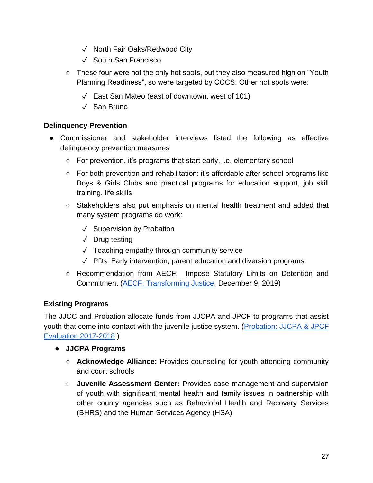- ✓ North Fair Oaks/Redwood City
- ✓ South San Francisco
- These four were not the only hot spots, but they also measured high on "Youth Planning Readiness", so were targeted by CCCS. Other hot spots were:
	- ✓ East San Mateo (east of downtown, west of 101)
	- ✓ San Bruno

#### **Delinquency Prevention**

- Commissioner and stakeholder interviews listed the following as effective delinquency prevention measures
	- For prevention, it's programs that start early, i.e. elementary school
	- $\circ$  For both prevention and rehabilitation: it's affordable after school programs like Boys & Girls Clubs and practical programs for education support, job skill training, life skills
	- Stakeholders also put emphasis on mental health treatment and added that many system programs do work:
		- ✓ Supervision by Probation
		- ✓ Drug testing
		- ✓ Teaching empathy through community service
		- $\sqrt{P}$  PDs: Early intervention, parent education and diversion programs
	- Recommendation from AECF: Impose Statutory Limits on Detention and Commitment [\(AECF: Transforming Justice,](https://docs.google.com/document/d/1Mgs7ciK1ncuuto1464GulFBxQRXFYB2WcW1SPrmMuGc/edit) December 9, 2019)

#### **Existing Programs**

The JJCC and Probation allocate funds from JJCPA and JPCF to programs that assist youth that come into contact with the juvenile justice system. [\(Probation: JJCPA & JPCF](https://probation.smcgov.org/sites/probation.smcgov.org/files/Comprehensive%20Annual%20Report%20(JJCPA-JPCF)%202017-2018.pdf)  [Evaluation 2017-2018.](https://probation.smcgov.org/sites/probation.smcgov.org/files/Comprehensive%20Annual%20Report%20(JJCPA-JPCF)%202017-2018.pdf))

- **JJCPA Programs**
	- **Acknowledge Alliance:** Provides counseling for youth attending community and court schools
	- **Juvenile Assessment Center:** Provides case management and supervision of youth with significant mental health and family issues in partnership with other county agencies such as Behavioral Health and Recovery Services (BHRS) and the Human Services Agency (HSA)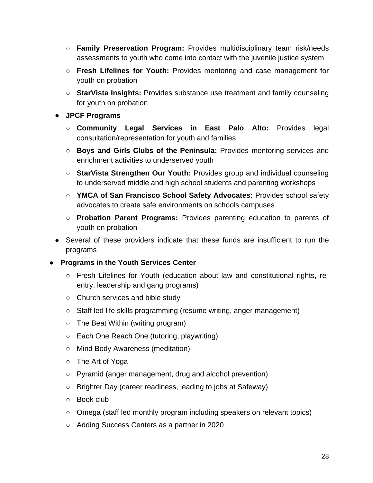- **Family Preservation Program:** Provides multidisciplinary team risk/needs assessments to youth who come into contact with the juvenile justice system
- **Fresh Lifelines for Youth:** Provides mentoring and case management for youth on probation
- **StarVista Insights:** Provides substance use treatment and family counseling for youth on probation
- **JPCF Programs**
	- **Community Legal Services in East Palo Alto:** Provides legal consultation/representation for youth and families
	- **Boys and Girls Clubs of the Peninsula:** Provides mentoring services and enrichment activities to underserved youth
	- **StarVista Strengthen Our Youth:** Provides group and individual counseling to underserved middle and high school students and parenting workshops
	- **YMCA of San Francisco School Safety Advocates:** Provides school safety advocates to create safe environments on schools campuses
	- **Probation Parent Programs:** Provides parenting education to parents of youth on probation
- Several of these providers indicate that these funds are insufficient to run the programs
- **Programs in the Youth Services Center**
	- Fresh Lifelines for Youth (education about law and constitutional rights, reentry, leadership and gang programs)
	- Church services and bible study
	- Staff led life skills programming (resume writing, anger management)
	- The Beat Within (writing program)
	- Each One Reach One (tutoring, playwriting)
	- Mind Body Awareness (meditation)
	- The Art of Yoga
	- Pyramid (anger management, drug and alcohol prevention)
	- Brighter Day (career readiness, leading to jobs at Safeway)
	- $\circ$  Book club
	- Omega (staff led monthly program including speakers on relevant topics)
	- Adding Success Centers as a partner in 2020